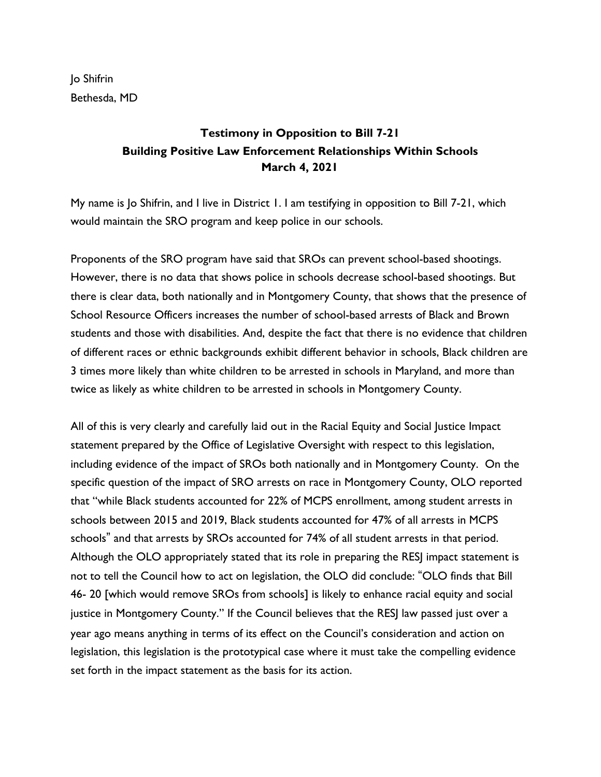Jo Shifrin Bethesda, MD

## **Testimony in Opposition to Bill 7-21 Building Positive Law Enforcement Relationships Within Schools March 4, 2021**

My name is Jo Shifrin, and I live in District 1. I am testifying in opposition to Bill 7-21, which would maintain the SRO program and keep police in our schools.

Proponents of the SRO program have said that SROs can prevent school-based shootings. However, there is no data that shows police in schools decrease school-based shootings. But there is clear data, both nationally and in Montgomery County, that shows that the presence of School Resource Officers increases the number of school-based arrests of Black and Brown students and those with disabilities. And, despite the fact that there is no evidence that children of different races or ethnic backgrounds exhibit different behavior in schools, Black children are 3 times more likely than white children to be arrested in schools in Maryland, and more than twice as likely as white children to be arrested in schools in Montgomery County.

All of this is very clearly and carefully laid out in the Racial Equity and Social Justice Impact statement prepared by the Office of Legislative Oversight with respect to this legislation, including evidence of the impact of SROs both nationally and in Montgomery County. On the specific question of the impact of SRO arrests on race in Montgomery County, OLO reported that "while Black students accounted for 22% of MCPS enrollment, among student arrests in schools between 2015 and 2019, Black students accounted for 47% of all arrests in MCPS schools" and that arrests by SROs accounted for 74% of all student arrests in that period. Although the OLO appropriately stated that its role in preparing the RESJ impact statement is not to tell the Council how to act on legislation, the OLO did conclude: "OLO finds that Bill 46- 20 [which would remove SROs from schools] is likely to enhance racial equity and social justice in Montgomery County." If the Council believes that the RESJ law passed just over a year ago means anything in terms of its effect on the Council's consideration and action on legislation, this legislation is the prototypical case where it must take the compelling evidence set forth in the impact statement as the basis for its action.